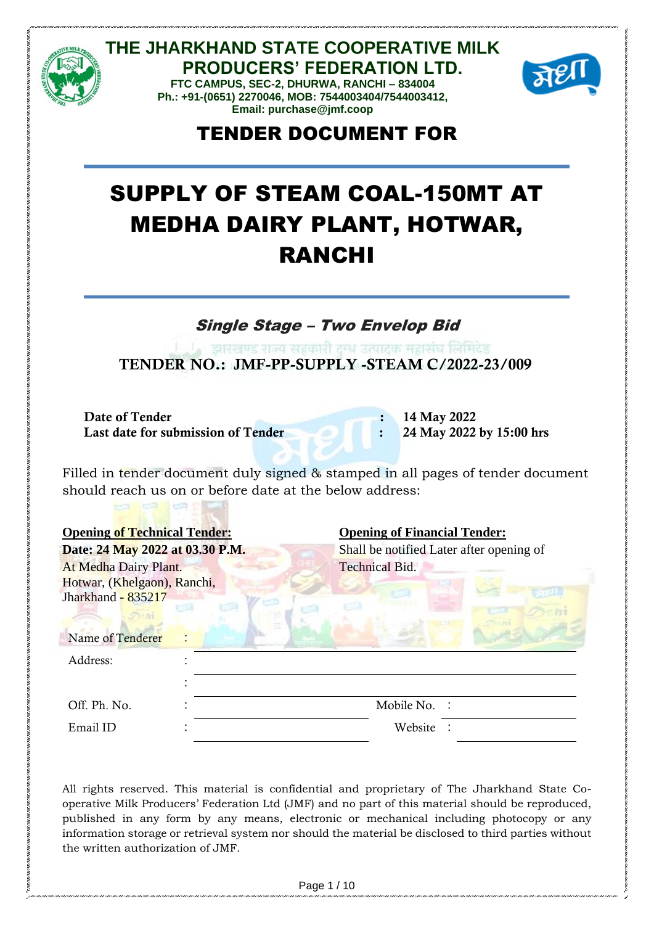

**THE JHARKHAND STATE COOPERATIVE MILK PRODUCERS' FEDERATION LTD. FTC CAMPUS, SEC-2, DHURWA, RANCHI – 834004**

**Ph.: +91-(0651) 2270046, MOB: 7544003404/7544003412, Email: purchase@jmf.coop**



## TENDER DOCUMENT FOR

# SUPPLY OF STEAM COAL-150MT AT MEDHA DAIRY PLANT, HOTWAR, RANCHI

Single Stage – Two Envelop Bid

ं व्याग्ग्लण्ड राज्य सरकारी टन्ध उत्पाटक महासंघ लिमिटेड TENDER NO.: JMF-PP-SUPPLY -STEAM C/2022-23/009

Date of Tender : 14 May 2022 Last date for submission of Tender : 24 May 2022 by 15:00 hrs

Filled in tender document duly signed & stamped in all pages of tender document should reach us on or before date at the below address:

| <b>Opening of Technical Tender:</b>                                                            |                       | <b>Opening of Financial Tender:</b><br>Shall be notified Later after opening of |  |  |  |
|------------------------------------------------------------------------------------------------|-----------------------|---------------------------------------------------------------------------------|--|--|--|
| Date: 24 May 2022 at 03.30 P.M.                                                                |                       |                                                                                 |  |  |  |
| At Medha Dairy Plant.<br>Hotwar, (Khelgaon), Ranchi,<br>Jharkhand - 835217<br>Name of Tenderer | <b>Technical Bid.</b> |                                                                                 |  |  |  |
| Address:                                                                                       |                       |                                                                                 |  |  |  |
|                                                                                                |                       |                                                                                 |  |  |  |
| Off. Ph. No.                                                                                   | Mobile No.            |                                                                                 |  |  |  |
| Email ID                                                                                       | Website               |                                                                                 |  |  |  |

All rights reserved. This material is confidential and proprietary of The Jharkhand State Cooperative Milk Producers' Federation Ltd (JMF) and no part of this material should be reproduced, published in any form by any means, electronic or mechanical including photocopy or any information storage or retrieval system nor should the material be disclosed to third parties without the written authorization of JMF.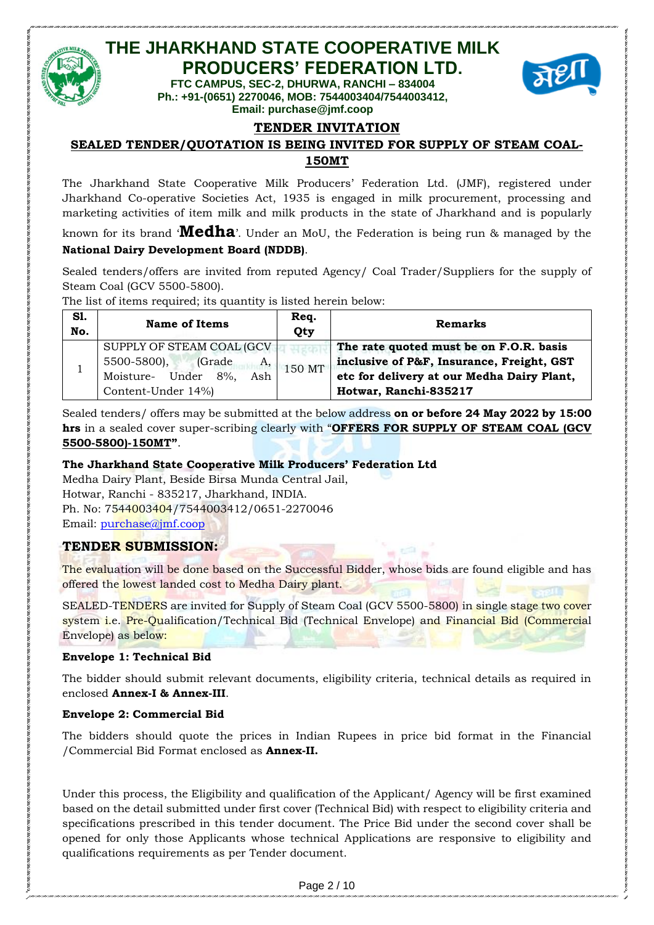

### **THE JHARKHAND STATE COOPERATIVE MILK PRODUCERS' FEDERATION LTD.**

**FTC CAMPUS, SEC-2, DHURWA, RANCHI – 834004 Ph.: +91-(0651) 2270046, MOB: 7544003404/7544003412, Email: purchase@jmf.coop**



#### **TENDER INVITATION**

#### **SEALED TENDER/QUOTATION IS BEING INVITED FOR SUPPLY OF STEAM COAL-150MT**

The Jharkhand State Cooperative Milk Producers' Federation Ltd. (JMF), registered under Jharkhand Co-operative Societies Act, 1935 is engaged in milk procurement, processing and marketing activities of item milk and milk products in the state of Jharkhand and is popularly

known for its brand '**Medha**'. Under an MoU, the Federation is being run & managed by the **National Dairy Development Board (NDDB)**.

Sealed tenders/offers are invited from reputed Agency/ Coal Trader/Suppliers for the supply of Steam Coal (GCV 5500-5800).

The list of items required; its quantity is listed herein below:

| S1.<br>No. | <b>Name of Items</b>                                                                                          | Req.<br>Qty | <b>Remarks</b>                                                                                                                                              |
|------------|---------------------------------------------------------------------------------------------------------------|-------------|-------------------------------------------------------------------------------------------------------------------------------------------------------------|
|            | SUPPLY OF STEAM COAL (GCV)<br>5500-5800),<br>(Grade<br>A,<br>Moisture- Under 8%,<br>Ash<br>Content-Under 14%) | 150 MT      | The rate quoted must be on F.O.R. basis<br>inclusive of P&F, Insurance, Freight, GST<br>etc for delivery at our Medha Dairy Plant,<br>Hotwar, Ranchi-835217 |

Sealed tenders/ offers may be submitted at the below address **on or before 24 May 2022 by 15:00 hrs** in a sealed cover super-scribing clearly with "**OFFERS FOR SUPPLY OF STEAM COAL (GCV 5500-5800)-150MT"**.

#### **The Jharkhand State Cooperative Milk Producers' Federation Ltd**

Medha Dairy Plant, Beside Birsa Munda Central Jail, Hotwar, Ranchi - 835217, Jharkhand, INDIA. Ph. No: 7544003404/7544003412/0651-2270046 Email: [purchase@jmf.coop](mailto:purchase@jmf.coop)

#### **TENDER SUBMISSION:**

The evaluation will be done based on the Successful Bidder, whose bids are found eligible and has offered the lowest landed cost to Medha Dairy plant.

SEALED-TENDERS are invited for Supply of Steam Coal (GCV 5500-5800) in single stage two cover system *i.e.* Pre-Qualification/Technical Bid (Technical Envelope) and Financial Bid (Commercial Envelope) as below:

#### **Envelope 1: Technical Bid**

The bidder should submit relevant documents, eligibility criteria, technical details as required in enclosed **Annex-I & Annex-III**.

#### **Envelope 2: Commercial Bid**

The bidders should quote the prices in Indian Rupees in price bid format in the Financial /Commercial Bid Format enclosed as **Annex-II.**

Under this process, the Eligibility and qualification of the Applicant/ Agency will be first examined based on the detail submitted under first cover (Technical Bid) with respect to eligibility criteria and specifications prescribed in this tender document. The Price Bid under the second cover shall be opened for only those Applicants whose technical Applications are responsive to eligibility and qualifications requirements as per Tender document.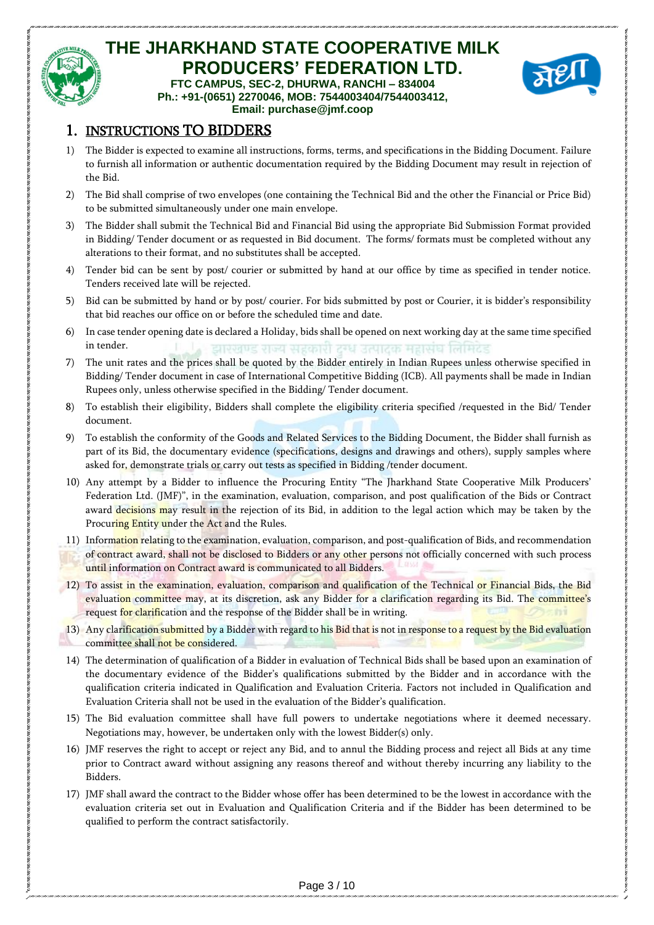

#### **THE JHARKHAND STATE COOPERATIVE MILK PRODUCERS' FEDERATION LTD. FTC CAMPUS, SEC-2, DHURWA, RANCHI – 834004 Ph.: +91-(0651) 2270046, MOB: 7544003404/7544003412,**



#### **Email: purchase@jmf.coop** 1. INSTRUCTIONS TO BIDDERS

- 1) The Bidder is expected to examine all instructions, forms, terms, and specifications in the Bidding Document. Failure to furnish all information or authentic documentation required by the Bidding Document may result in rejection of the Bid.
- 2) The Bid shall comprise of two envelopes (one containing the Technical Bid and the other the Financial or Price Bid) to be submitted simultaneously under one main envelope.
- 3) The Bidder shall submit the Technical Bid and Financial Bid using the appropriate Bid Submission Format provided in Bidding/ Tender document or as requested in Bid document. The forms/ formats must be completed without any alterations to their format, and no substitutes shall be accepted.
- 4) Tender bid can be sent by post/ courier or submitted by hand at our office by time as specified in tender notice. Tenders received late will be rejected.
- 5) Bid can be submitted by hand or by post/ courier. For bids submitted by post or Courier, it is bidder's responsibility that bid reaches our office on or before the scheduled time and date.
- 6) In case tender opening date is declared a Holiday, bids shall be opened on next working day at the same time specified in tender. टाएरतण्ड राज्य सरकारी टेम्घ उत्पाटक महासंघ लिमिटेड
- 7) The unit rates and the prices shall be quoted by the Bidder entirely in Indian Rupees unless otherwise specified in Bidding/ Tender document in case of International Competitive Bidding (ICB). All payments shall be made in Indian Rupees only, unless otherwise specified in the Bidding/ Tender document.
- 8) To establish their eligibility, Bidders shall complete the eligibility criteria specified /requested in the Bid/ Tender document.
- 9) To establish the conformity of the Goods and Related Services to the Bidding Document, the Bidder shall furnish as part of its Bid, the documentary evidence (specifications, designs and drawings and others), supply samples where asked for, demonstrate trials or carry out tests as specified in Bidding /tender document.
- 10) Any attempt by a Bidder to influence the Procuring Entity "The Jharkhand State Cooperative Milk Producers' Federation Ltd. (JMF)", in the examination, evaluation, comparison, and post qualification of the Bids or Contract award decisions may result in the rejection of its Bid, in addition to the legal action which may be taken by the Procuring Entity under the Act and the Rules.
- 11) Information relating to the examination, evaluation, comparison, and post-qualification of Bids, and recommendation of contract award, shall not be disclosed to Bidders or any other persons not officially concerned with such process until information on Contract award is communicated to all Bidders.
- 12) To assist in the examination, evaluation, comparison and qualification of the Technical or Financial Bids, the Bid evaluation committee may, at its discretion, ask any Bidder for a clarification regarding its Bid. The committee's request for clarification and the response of the Bidder shall be in writing.
- 13) Any clarification submitted by a Bidder with regard to his Bid that is not in response to a request by the Bid evaluation committee shall not be considered.
- 14) The determination of qualification of a Bidder in evaluation of Technical Bids shall be based upon an examination of the documentary evidence of the Bidder's qualifications submitted by the Bidder and in accordance with the qualification criteria indicated in Qualification and Evaluation Criteria. Factors not included in Qualification and Evaluation Criteria shall not be used in the evaluation of the Bidder's qualification.
- 15) The Bid evaluation committee shall have full powers to undertake negotiations where it deemed necessary. Negotiations may, however, be undertaken only with the lowest Bidder(s) only.
- 16) JMF reserves the right to accept or reject any Bid, and to annul the Bidding process and reject all Bids at any time prior to Contract award without assigning any reasons thereof and without thereby incurring any liability to the Bidders.
- 17) JMF shall award the contract to the Bidder whose offer has been determined to be the lowest in accordance with the evaluation criteria set out in Evaluation and Qualification Criteria and if the Bidder has been determined to be qualified to perform the contract satisfactorily.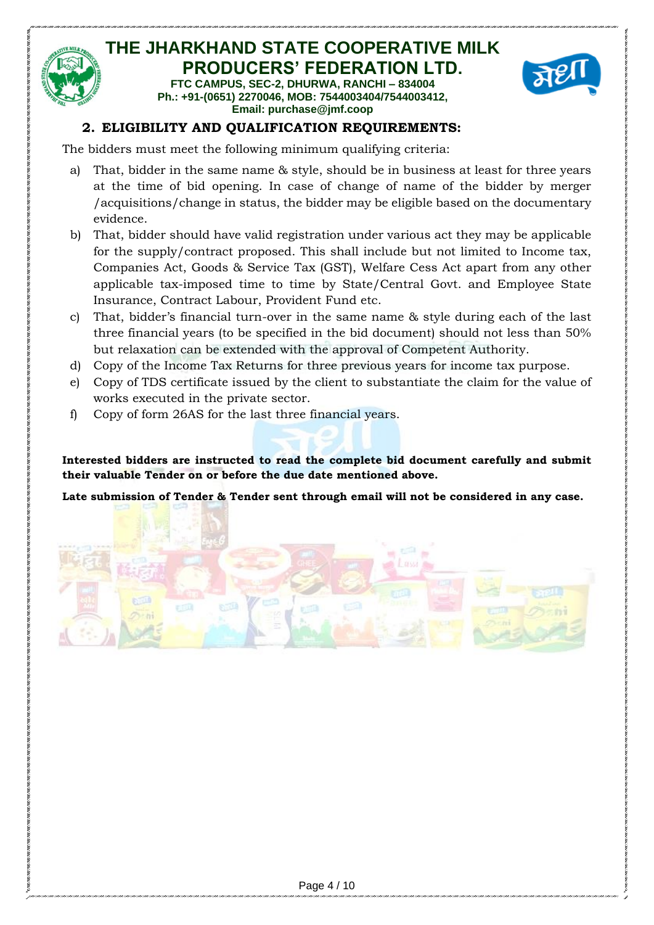

#### **THE JHARKHAND STATE COOPERATIVE MILK PRODUCERS' FEDERATION LTD. FTC CAMPUS, SEC-2, DHURWA, RANCHI – 834004 Ph.: +91-(0651) 2270046, MOB: 7544003404/7544003412,**



### **Email: purchase@jmf.coop**

#### **2. ELIGIBILITY AND QUALIFICATION REQUIREMENTS:**

The bidders must meet the following minimum qualifying criteria:

- a) That, bidder in the same name & style, should be in business at least for three years at the time of bid opening. In case of change of name of the bidder by merger /acquisitions/change in status, the bidder may be eligible based on the documentary evidence.
- b) That, bidder should have valid registration under various act they may be applicable for the supply/contract proposed. This shall include but not limited to Income tax, Companies Act, Goods & Service Tax (GST), Welfare Cess Act apart from any other applicable tax-imposed time to time by State/Central Govt. and Employee State Insurance, Contract Labour, Provident Fund etc.
- c) That, bidder's financial turn-over in the same name & style during each of the last three financial years (to be specified in the bid document) should not less than 50% but relaxation can be extended with the approval of Competent Authority.
- d) Copy of the Income Tax Returns for three previous years for income tax purpose.
- e) Copy of TDS certificate issued by the client to substantiate the claim for the value of works executed in the private sector.
- f) Copy of form 26AS for the last three financial years.

**Interested bidders are instructed to read the complete bid document carefully and submit their valuable Tender on or before the due date mentioned above.**

**Late submission of Tender & Tender sent through email will not be considered in any case.** 

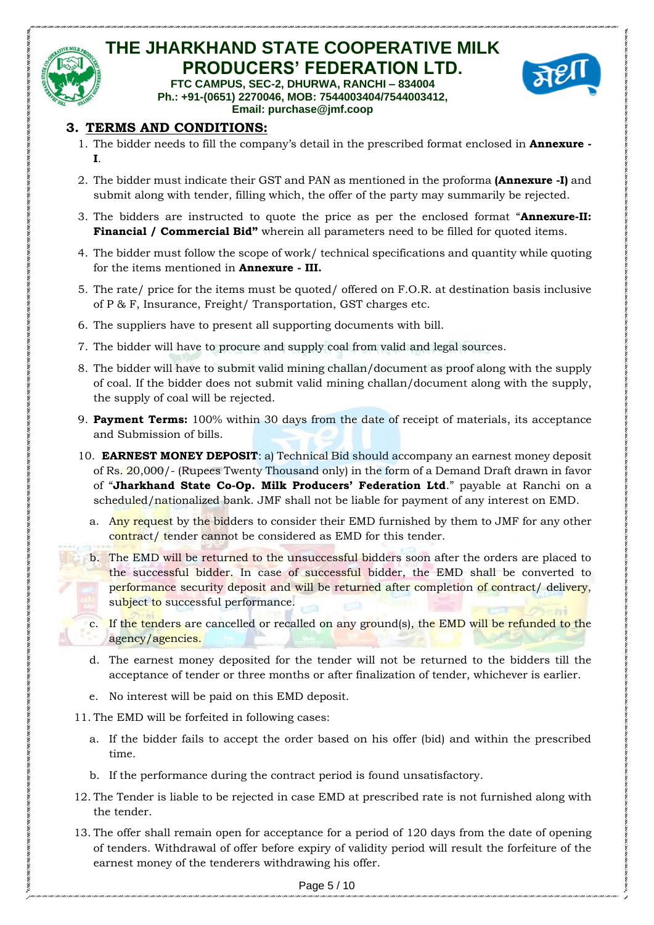

#### **THE JHARKHAND STATE COOPERATIVE MILK PRODUCERS' FEDERATION LTD. FTC CAMPUS, SEC-2, DHURWA, RANCHI – 834004 Ph.: +91-(0651) 2270046, MOB: 7544003404/7544003412,**



**Email: purchase@jmf.coop**

#### **3. TERMS AND CONDITIONS:**

- 1. The bidder needs to fill the company's detail in the prescribed format enclosed in **Annexure - I**.
- 2. The bidder must indicate their GST and PAN as mentioned in the proforma **(Annexure -I)** and submit along with tender, filling which, the offer of the party may summarily be rejected.
- 3. The bidders are instructed to quote the price as per the enclosed format "**Annexure-II: Financial / Commercial Bid"** wherein all parameters need to be filled for quoted items.
- 4. The bidder must follow the scope of work/ technical specifications and quantity while quoting for the items mentioned in **Annexure - III.**
- 5. The rate/ price for the items must be quoted/ offered on F.O.R. at destination basis inclusive of P & F, Insurance, Freight/ Transportation, GST charges etc.
- 6. The suppliers have to present all supporting documents with bill.
- 7. The bidder will have to procure and supply coal from valid and legal sources.
- 8. The bidder will have to submit valid mining challan/document as proof along with the supply of coal. If the bidder does not submit valid mining challan/document along with the supply, the supply of coal will be rejected.
- 9. **Payment Terms:** 100% within 30 days from the date of receipt of materials, its acceptance and Submission of bills.
- 10. **EARNEST MONEY DEPOSIT**: a) Technical Bid should accompany an earnest money deposit of Rs. 20,000/- (Rupees Twenty Thousand only) in the form of a Demand Draft drawn in favor of "**Jharkhand State Co-Op. Milk Producers' Federation Ltd**." payable at Ranchi on a scheduled/nationalized bank. JMF shall not be liable for payment of any interest on EMD.
	- a. Any request by the bidders to consider their EMD furnished by them to JMF for any other contract/ tender cannot be considered as EMD for this tender.
	- b. The EMD will be returned to the unsuccessful bidders soon after the orders are placed to the successful bidder. In case of successful bidder, the EMD shall be converted to performance security deposit and will be returned after completion of contract/ delivery, subject to successful performance.

c. If the tenders are cancelled or recalled on any ground(s), the EMD will be refunded to the agency/agencies.

- d. The earnest money deposited for the tender will not be returned to the bidders till the acceptance of tender or three months or after finalization of tender, whichever is earlier.
- e. No interest will be paid on this EMD deposit.
- 11. The EMD will be forfeited in following cases:
	- a. If the bidder fails to accept the order based on his offer (bid) and within the prescribed time.
	- b. If the performance during the contract period is found unsatisfactory.
- 12. The Tender is liable to be rejected in case EMD at prescribed rate is not furnished along with the tender.
- 13. The offer shall remain open for acceptance for a period of 120 days from the date of opening of tenders. Withdrawal of offer before expiry of validity period will result the forfeiture of the earnest money of the tenderers withdrawing his offer.

Page 5 / 10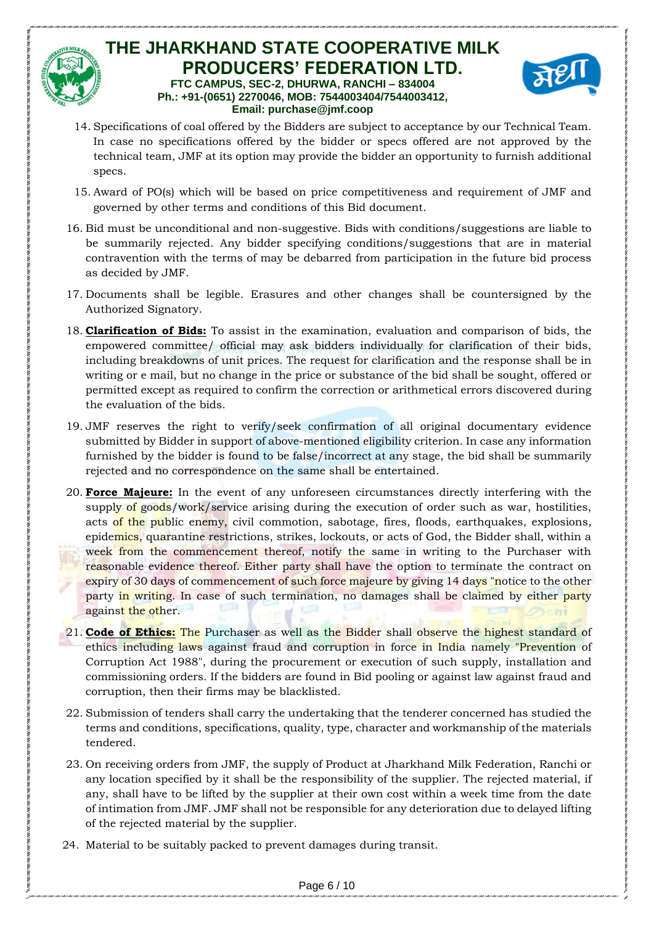#### **THE JHARKHAND STATE COOPERATIVE MILK PRODUCERS' FEDERATION LTD. FTC CAMPUS, SEC-2, DHURWA, RANCHI – 834004 Ph.: +91-(0651) 2270046, MOB: 7544003404/7544003412, Email: purchase@jmf.coop**



- 14. Specifications of coal offered by the Bidders are subject to acceptance by our Technical Team. In case no specifications offered by the bidder or specs offered are not approved by the technical team, JMF at its option may provide the bidder an opportunity to furnish additional specs.
- 15. Award of PO(s) which will be based on price competitiveness and requirement of JMF and governed by other terms and conditions of this Bid document.
- 16. Bid must be unconditional and non-suggestive. Bids with conditions/suggestions are liable to be summarily rejected. Any bidder specifying conditions/suggestions that are in material contravention with the terms of may be debarred from participation in the future bid process as decided by JMF.
- 17. Documents shall be legible. Erasures and other changes shall be countersigned by the Authorized Signatory.
- 18. **Clarification of Bids:** To assist in the examination, evaluation and comparison of bids, the empowered committee/ official may ask bidders individually for clarification of their bids, including breakdowns of unit prices. The request for clarification and the response shall be in writing or e mail, but no change in the price or substance of the bid shall be sought, offered or permitted except as required to confirm the correction or arithmetical errors discovered during the evaluation of the bids.
- 19. JMF reserves the right to verify/seek confirmation of all original documentary evidence submitted by Bidder in support of above-mentioned eligibility criterion. In case any information furnished by the bidder is found to be false/incorrect at any stage, the bid shall be summarily rejected and no correspondence on the same shall be entertained.
- 20. **Force Majeure:** In the event of any unforeseen circumstances directly interfering with the supply of goods/work/service arising during the execution of order such as war, hostilities, acts of the public enemy, civil commotion, sabotage, fires, floods, earthquakes, explosions, epidemics, quarantine restrictions, strikes, lockouts, or acts of God, the Bidder shall, within a week from the commencement thereof, notify the same in writing to the Purchaser with reasonable evidence thereof. Either party shall have the option to terminate the contract on expiry of 30 days of commencement of such force majeure by giving 14 days "notice to the other party in writing. In case of such termination, no damages shall be claimed by either party against the other.
- 21. **Code of Ethics:** The Purchaser as well as the Bidder shall observe the highest standard of ethics including laws against fraud and corruption in force in India namely "Prevention of Corruption Act 1988", during the procurement or execution of such supply, installation and commissioning orders. If the bidders are found in Bid pooling or against law against fraud and corruption, then their firms may be blacklisted.
- 22. Submission of tenders shall carry the undertaking that the tenderer concerned has studied the terms and conditions, specifications, quality, type, character and workmanship of the materials tendered.
- 23. On receiving orders from JMF, the supply of Product at Jharkhand Milk Federation, Ranchi or any location specified by it shall be the responsibility of the supplier. The rejected material, if any, shall have to be lifted by the supplier at their own cost within a week time from the date of intimation from JMF. JMF shall not be responsible for any deterioration due to delayed lifting of the rejected material by the supplier.
- 24. Material to be suitably packed to prevent damages during transit.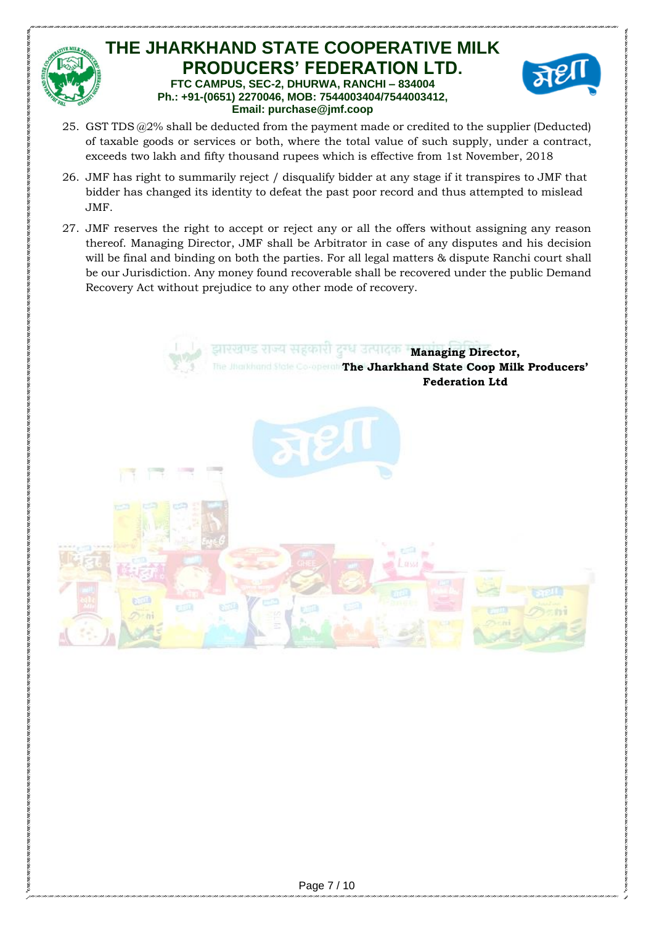

#### **THE JHARKHAND STATE COOPERATIVE MILK PRODUCERS' FEDERATION LTD. FTC CAMPUS, SEC-2, DHURWA, RANCHI – 834004 Ph.: +91-(0651) 2270046, MOB: 7544003404/7544003412, Email: purchase@jmf.coop**



- 25. GST TDS  $@2\%$  shall be deducted from the payment made or credited to the supplier (Deducted) of taxable goods or services or both, where the total value of such supply, under a contract, exceeds two lakh and fifty thousand rupees which is effective from 1st November, 2018
- 26. JMF has right to summarily reject / disqualify bidder at any stage if it transpires to JMF that bidder has changed its identity to defeat the past poor record and thus attempted to mislead JMF.
- 27. JMF reserves the right to accept or reject any or all the offers without assigning any reason thereof. Managing Director, JMF shall be Arbitrator in case of any disputes and his decision will be final and binding on both the parties. For all legal matters & dispute Ranchi court shall be our Jurisdiction. Any money found recoverable shall be recovered under the public Demand Recovery Act without prejudice to any other mode of recovery.

**Managing Director, The Jharkhand State Coop Milk Producers' Federation Ltd**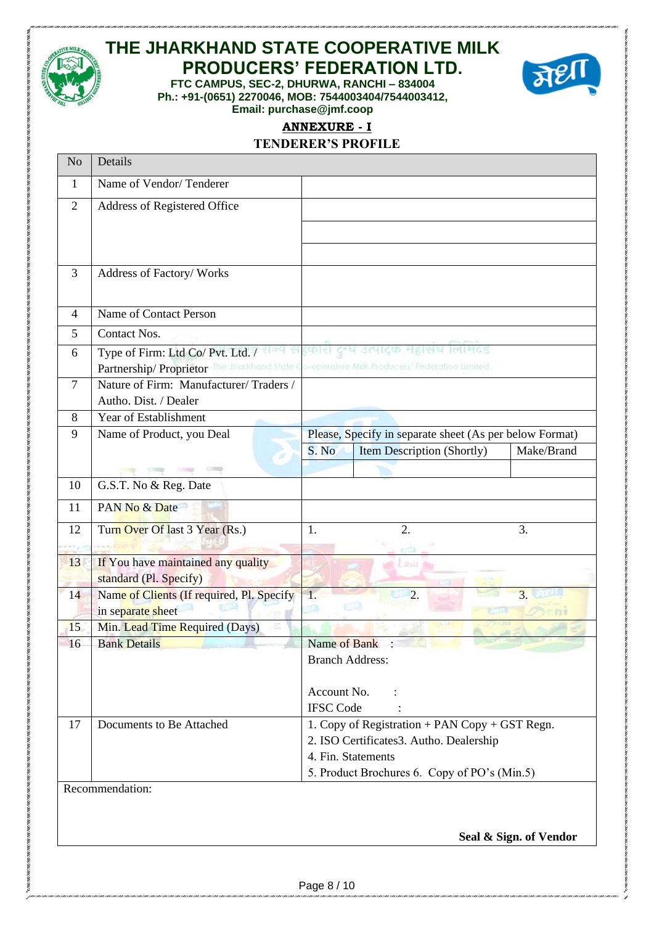

## **THE JHARKHAND STATE COOPERATIVE MILK PRODUCERS' FEDERATION LTD.**

**FTC CAMPUS, SEC-2, DHURWA, RANCHI – 834004 Ph.: +91-(0651) 2270046, MOB: 7544003404/7544003412, Email: purchase@jmf.coop**



## **ANNEXURE - I**

#### **TENDERER'S PROFILE**

| N <sub>o</sub> | Details                                                                                                                          |                                              |                                                         |            |  |
|----------------|----------------------------------------------------------------------------------------------------------------------------------|----------------------------------------------|---------------------------------------------------------|------------|--|
| $\mathbf{1}$   | Name of Vendor/Tenderer                                                                                                          |                                              |                                                         |            |  |
| $\overline{2}$ | Address of Registered Office                                                                                                     |                                              |                                                         |            |  |
|                |                                                                                                                                  |                                              |                                                         |            |  |
|                |                                                                                                                                  |                                              |                                                         |            |  |
| 3              | Address of Factory/Works                                                                                                         |                                              |                                                         |            |  |
|                |                                                                                                                                  |                                              |                                                         |            |  |
| 4              | Name of Contact Person                                                                                                           |                                              |                                                         |            |  |
| 5              | Contact Nos.                                                                                                                     |                                              |                                                         |            |  |
| 6              | Type of Firm: Ltd Co/ Pvt. Ltd. /<br>Partnership/ Proprietor The Jharkhand State Co-operative Milk Producers' Federation Limited |                                              |                                                         |            |  |
| 7              | Nature of Firm: Manufacturer/Traders /                                                                                           |                                              |                                                         |            |  |
|                | Autho. Dist. / Dealer                                                                                                            |                                              |                                                         |            |  |
| 8              | Year of Establishment                                                                                                            |                                              |                                                         |            |  |
| 9              | Name of Product, you Deal                                                                                                        |                                              | Please, Specify in separate sheet (As per below Format) |            |  |
|                |                                                                                                                                  | S. No                                        | Item Description (Shortly)                              | Make/Brand |  |
|                |                                                                                                                                  |                                              |                                                         |            |  |
| 10             | G.S.T. No & Reg. Date                                                                                                            |                                              |                                                         |            |  |
| 11             | PAN No & Date                                                                                                                    |                                              |                                                         |            |  |
| 12             | Turn Over Of last 3 Year (Rs.)                                                                                                   | 1.                                           | 2.                                                      | 3.         |  |
| 13             | If You have maintained any quality                                                                                               |                                              |                                                         |            |  |
|                | standard (Pl. Specify)                                                                                                           |                                              |                                                         |            |  |
| 14             | Name of Clients (If required, Pl. Specify<br>in separate sheet                                                                   |                                              | $\overline{2}$ .                                        | 3.         |  |
| 15             | Min. Lead Time Required (Days)                                                                                                   |                                              |                                                         |            |  |
| 16             | <b>Bank Details</b>                                                                                                              | Name of Bank :                               |                                                         |            |  |
|                |                                                                                                                                  | <b>Branch Address:</b>                       |                                                         |            |  |
|                |                                                                                                                                  |                                              |                                                         |            |  |
|                |                                                                                                                                  | Account No.<br><b>IFSC</b> Code              |                                                         |            |  |
| 17             | Documents to Be Attached                                                                                                         |                                              | 1. Copy of Registration + PAN Copy + GST Regn.          |            |  |
|                |                                                                                                                                  | 2. ISO Certificates3. Autho. Dealership      |                                                         |            |  |
|                |                                                                                                                                  | 4. Fin. Statements                           |                                                         |            |  |
|                |                                                                                                                                  | 5. Product Brochures 6. Copy of PO's (Min.5) |                                                         |            |  |
|                | Recommendation:                                                                                                                  |                                              |                                                         |            |  |
|                |                                                                                                                                  |                                              |                                                         |            |  |
|                |                                                                                                                                  |                                              |                                                         |            |  |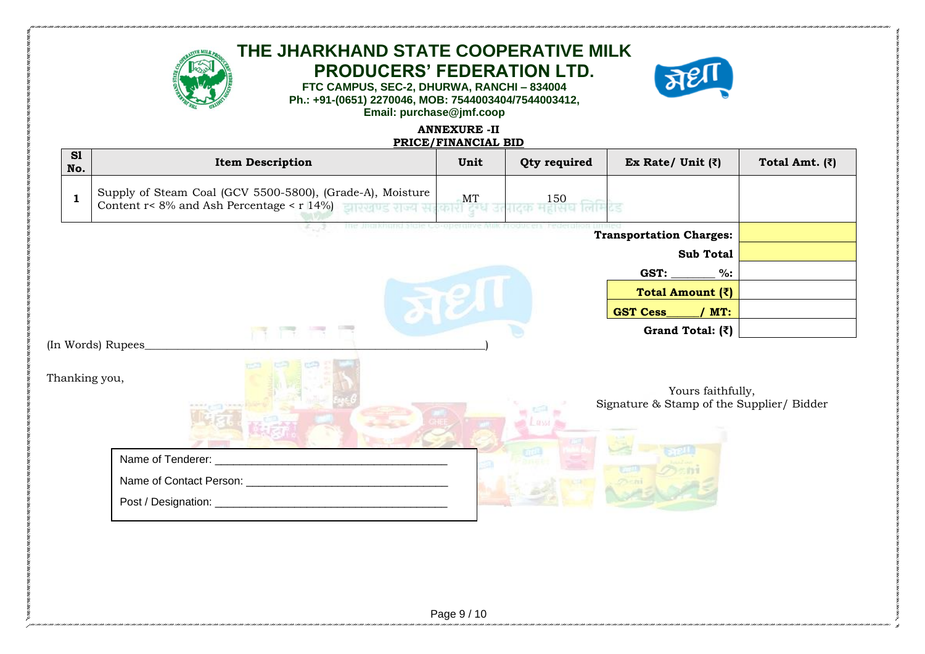

## **THE JHARKHAND STATE COOPERATIVE MILK PRODUCERS' FEDERATION LTD.**





#### **ANNEXURE -II PRICE/FINANCIAL BID**

|                                | מום משמחים ומטוח ו |                                                                                                                          |                                |                                           |                                                                |                        |  |
|--------------------------------|--------------------|--------------------------------------------------------------------------------------------------------------------------|--------------------------------|-------------------------------------------|----------------------------------------------------------------|------------------------|--|
| S1<br>No.                      |                    | <b>Item Description</b>                                                                                                  | Unit                           | Qty required                              | Ex Rate/ Unit $(\bar{z})$                                      | Total Amt. $(\bar{z})$ |  |
| $\mathbf{1}$                   |                    | Supply of Steam Coal (GCV 5500-5800), (Grade-A), Moisture<br>Content $r < 8\%$ and Ash Percentage $\lt r$ 14%) and $\lt$ | $\frac{\text{MT}}{\text{OPT}}$ | $\frac{150}{10100}$ लिमि $\overline{c}$ ड |                                                                |                        |  |
| <b>Transportation Charges:</b> |                    |                                                                                                                          |                                |                                           |                                                                |                        |  |
|                                |                    |                                                                                                                          |                                |                                           | <b>Sub Total</b>                                               |                        |  |
|                                |                    |                                                                                                                          |                                |                                           | GST:<br>$%$ :                                                  |                        |  |
| Total Amount $(\bar{z})$       |                    |                                                                                                                          |                                |                                           |                                                                |                        |  |
|                                |                    |                                                                                                                          |                                |                                           | <b>GST Cess</b><br>/ $MT:$                                     |                        |  |
|                                |                    |                                                                                                                          |                                |                                           | Grand Total: $(\bar{z})$                                       |                        |  |
|                                |                    | (In Words) Rupees_                                                                                                       |                                |                                           |                                                                |                        |  |
| Thanking you,                  |                    |                                                                                                                          |                                | <b>DESSE</b>                              | Yours faithfully,<br>Signature & Stamp of the Supplier/ Bidder |                        |  |
|                                |                    | Name of Tenderer: _                                                                                                      |                                |                                           |                                                                |                        |  |
|                                |                    |                                                                                                                          |                                |                                           |                                                                |                        |  |
|                                |                    | Post / Designation: _<br><u> 1980 - Jan Barat, margaret amerikan ba</u>                                                  |                                |                                           |                                                                |                        |  |